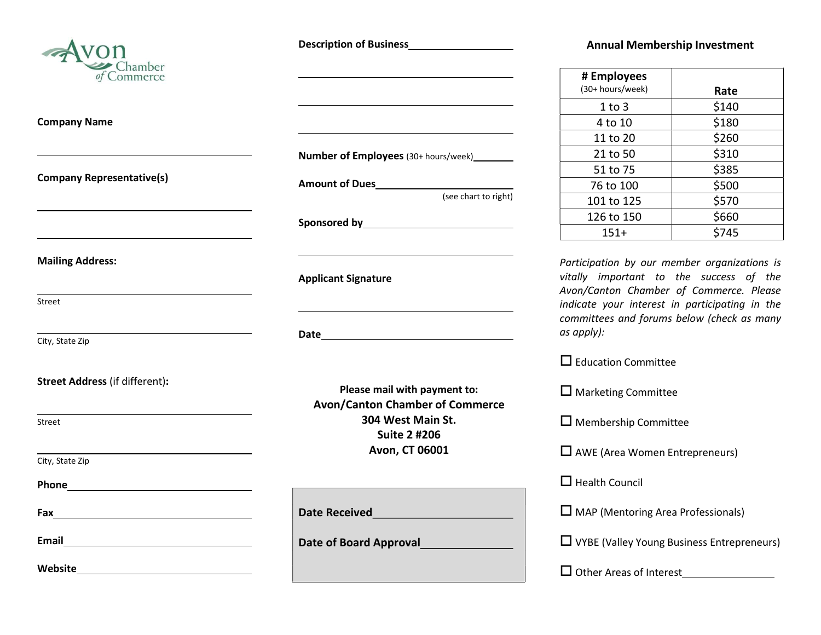

Company Name

 $\overline{a}$ 

 $\overline{a}$ 

 $\overline{a}$ 

 $\overline{a}$ 

Company Representative(s)

Mailing Address:

Street

City, State Zip

Street Address (if different):

Street

 $\overline{a}$ 

City, State Zip

Phone <u>\_\_\_\_\_\_\_\_\_\_\_\_\_\_\_\_\_\_\_\_\_\_\_\_\_\_</u>

Fax

Email <u>\_\_\_\_\_\_\_\_\_\_\_\_\_\_</u>

Website

Description of Business

Number of Employees (30+ hours/week)

(see chart to right)

Amount of Dues

Sponsored by

 $\overline{a}$ 

 $\overline{a}$ 

 $\overline{a}$ 

 $\overline{a}$ 

 $\overline{a}$ 

Applicant Signature

Date and the contract of the contract of the contract of the contract of the contract of the contract of the contract of the contract of the contract of the contract of the contract of the contract of the contract of the c

Please mail with payment to: Avon/Canton Chamber of Commerce 304 West Main St. Suite 2 #206 Avon, CT 06001

Date Received Date of Board Approval

## Annual Membership Investment

| # Employees      |       |
|------------------|-------|
| (30+ hours/week) | Rate  |
| 1 to 3           | \$140 |
| 4 to 10          | \$180 |
| 11 to 20         | \$260 |
| 21 to 50         | \$310 |
| 51 to 75         | \$385 |
| 76 to 100        | \$500 |
| 101 to 125       | \$570 |
| 126 to 150       | \$660 |
| $151+$           | \$745 |

Participation by our member organizations is vitally important to the success of the Avon/Canton Chamber of Commerce. Please indicate your interest in participating in the committees and forums below (check as many as apply):

 $\square$  Education Committee

 $\square$  Marketing Committee

 $\square$  Membership Committee

 $\square$  AWE (Area Women Entrepreneurs)

 $\Box$  Health Council

 $\square$  MAP (Mentoring Area Professionals)

VYBE (Valley Young Business Entrepreneurs)

□ Other Areas of Interest